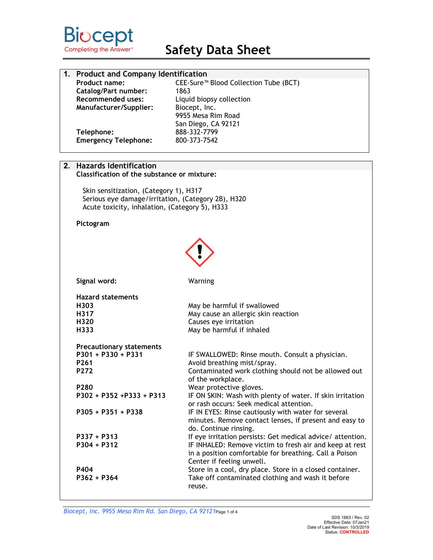

| 1. Product and Company Identification |                                                   |
|---------------------------------------|---------------------------------------------------|
| <b>Product name:</b>                  | CEE-Sure <sup>™</sup> Blood Collection Tube (BCT) |
| <b>Catalog/Part number:</b>           | 1863                                              |
| <b>Recommended uses:</b>              | Liquid biopsy collection                          |
| Manufacturer/Supplier:                | Biocept, Inc.                                     |
|                                       | 9955 Mesa Rim Road                                |
|                                       | San Diego, CA 92121                               |
| Telephone:                            | 888-332-7799                                      |
| <b>Emergency Telephone:</b>           | 800-373-7542                                      |
|                                       |                                                   |

# **2. Hazards Identification**

### **Classification of the substance or mixture:**

Skin sensitization, (Category 1), H317 Serious eye damage/irritation, (Category 2B), H320 Acute toxicity, inhalation, (Category 5), H333

# **Pictogram**



| Signal word:                    | Warning                                                                   |
|---------------------------------|---------------------------------------------------------------------------|
| <b>Hazard statements</b>        |                                                                           |
| H303                            | May be harmful if swallowed                                               |
| H317                            | May cause an allergic skin reaction                                       |
| H320                            | Causes eye irritation                                                     |
| H333                            | May be harmful if inhaled                                                 |
| <b>Precautionary statements</b> |                                                                           |
| $P301 + P330 + P331$            | IF SWALLOWED: Rinse mouth. Consult a physician.                           |
| P <sub>261</sub>                | Avoid breathing mist/spray.                                               |
| P272                            | Contaminated work clothing should not be allowed out<br>of the workplace. |
| P <sub>280</sub>                | Wear protective gloves.                                                   |
| $P302 + P352 + P333 + P313$     | IF ON SKIN: Wash with plenty of water. If skin irritation                 |
|                                 | or rash occurs: Seek medical attention.                                   |
| $P305 + P351 + P338$            | IF IN EYES: Rinse cautiously with water for several                       |
|                                 | minutes. Remove contact lenses, if present and easy to                    |
|                                 | do. Continue rinsing.                                                     |
| $P337 + P313$                   | If eye irritation persists: Get medical advice/ attention.                |
| $P304 + P312$                   | IF INHALED: Remove victim to fresh air and keep at rest                   |
|                                 | in a position comfortable for breathing. Call a Poison                    |
|                                 | Center if feeling unwell.                                                 |
| P404                            | Store in a cool, dry place. Store in a closed container.                  |
| $P362 + P364$                   | Take off contaminated clothing and wash it before<br>reuse.               |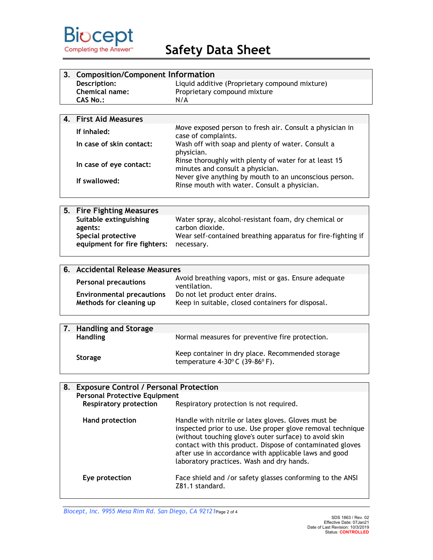

| 3. Composition/Component Information |                                                |
|--------------------------------------|------------------------------------------------|
| Description:                         | Liquid additive (Proprietary compound mixture) |
| Chemical name:                       | Proprietary compound mixture                   |
| CAS No.:                             | N/A                                            |
|                                      |                                                |
| 4. First Aid Measures                |                                                |

| If inhaled:<br>In case of skin contact: | Move exposed person to fresh air. Consult a physician in<br>case of complaints.<br>Wash off with soap and plenty of water. Consult a |
|-----------------------------------------|--------------------------------------------------------------------------------------------------------------------------------------|
| In case of eye contact:                 | physician.<br>Rinse thoroughly with plenty of water for at least 15<br>minutes and consult a physician.                              |
| If swallowed:                           | Never give anything by mouth to an unconscious person.<br>Rinse mouth with water. Consult a physician.                               |

| 5. Fire Fighting Measures                                     |                                                              |
|---------------------------------------------------------------|--------------------------------------------------------------|
| Suitable extinguishing                                        | Water spray, alcohol-resistant foam, dry chemical or         |
| agents:                                                       | carbon dioxide.                                              |
| Special protective<br>equipment for fire fighters: necessary. | Wear self-contained breathing apparatus for fire-fighting if |

| 6. Accidental Release Measures                              |                                                                                       |
|-------------------------------------------------------------|---------------------------------------------------------------------------------------|
| <b>Personal precautions</b>                                 | Avoid breathing vapors, mist or gas. Ensure adequate<br>ventilation.                  |
| <b>Environmental precautions</b><br>Methods for cleaning up | Do not let product enter drains.<br>Keep in suitable, closed containers for disposal. |
|                                                             |                                                                                       |

| 7. Handling and Storage |                                                                                                        |
|-------------------------|--------------------------------------------------------------------------------------------------------|
| <b>Handling</b>         | Normal measures for preventive fire protection.                                                        |
| <b>Storage</b>          | Keep container in dry place. Recommended storage<br>temperature $4-30^{\circ}$ C (39-86 $^{\circ}$ F). |

| 8. Exposure Control / Personal Protection |                                                                                                                                                                                                                                                                                                                                                |
|-------------------------------------------|------------------------------------------------------------------------------------------------------------------------------------------------------------------------------------------------------------------------------------------------------------------------------------------------------------------------------------------------|
| <b>Personal Protective Equipment</b>      |                                                                                                                                                                                                                                                                                                                                                |
| <b>Respiratory protection</b>             | Respiratory protection is not required.                                                                                                                                                                                                                                                                                                        |
| Hand protection                           | Handle with nitrile or latex gloves. Gloves must be<br>inspected prior to use. Use proper glove removal technique<br>(without touching glove's outer surface) to avoid skin<br>contact with this product. Dispose of contaminated gloves<br>after use in accordance with applicable laws and good<br>laboratory practices. Wash and dry hands. |
| Eye protection                            | Face shield and /or safety glasses conforming to the ANSI<br>Z81.1 standard.                                                                                                                                                                                                                                                                   |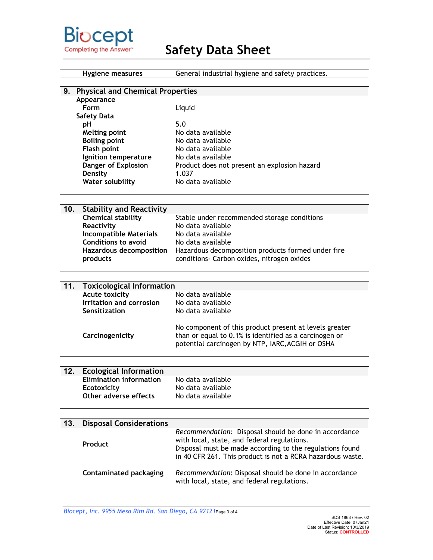

| Hygiene measures        | General industrial hygiene and safety practices. |
|-------------------------|--------------------------------------------------|
|                         |                                                  |
| 9.                      | <b>Physical and Chemical Properties</b>          |
| Appearance              |                                                  |
| Form                    | Liquid                                           |
| Safety Data             |                                                  |
| рH                      | 5.0                                              |
| <b>Melting point</b>    | No data available                                |
| <b>Boiling point</b>    | No data available                                |
| Flash point             | No data available                                |
| Ignition temperature    | No data available                                |
| Danger of Explosion     | Product does not present an explosion hazard     |
| Density                 | 1.037                                            |
| <b>Water solubility</b> | No data available                                |
|                         |                                                  |

| 10. | <b>Stability and Reactivity</b> |                                                    |
|-----|---------------------------------|----------------------------------------------------|
|     | <b>Chemical stability</b>       | Stable under recommended storage conditions        |
|     | Reactivity                      | No data available                                  |
|     | <b>Incompatible Materials</b>   | No data available                                  |
|     | <b>Conditions to avoid</b>      | No data available                                  |
|     | <b>Hazardous decomposition</b>  | Hazardous decomposition products formed under fire |
|     | products                        | conditions- Carbon oxides, nitrogen oxides         |
|     |                                 |                                                    |

| 11. | <b>Toxicological Information</b> |                                                                                                                                                                      |
|-----|----------------------------------|----------------------------------------------------------------------------------------------------------------------------------------------------------------------|
|     | <b>Acute toxicity</b>            | No data available                                                                                                                                                    |
|     | <b>Irritation and corrosion</b>  | No data available                                                                                                                                                    |
|     | Sensitization                    | No data available                                                                                                                                                    |
|     | Carcinogenicity                  | No component of this product present at levels greater<br>than or equal to 0.1% is identified as a carcinogen or<br>potential carcinogen by NTP, IARC, ACGIH or OSHA |

| 12. | <b>Ecological Information</b>  |                   |
|-----|--------------------------------|-------------------|
|     | <b>Elimination information</b> | No data available |
|     | Ecotoxicity                    | No data available |
|     | Other adverse effects          | No data available |
|     |                                |                   |

| 13. | <b>Disposal Considerations</b> |                                                                                                                                                                                                                                |
|-----|--------------------------------|--------------------------------------------------------------------------------------------------------------------------------------------------------------------------------------------------------------------------------|
|     | Product                        | Recommendation: Disposal should be done in accordance<br>with local, state, and federal regulations.<br>Disposal must be made according to the regulations found<br>in 40 CFR 261. This product is not a RCRA hazardous waste. |
|     | <b>Contaminated packaging</b>  | Recommendation: Disposal should be done in accordance<br>with local, state, and federal regulations.                                                                                                                           |